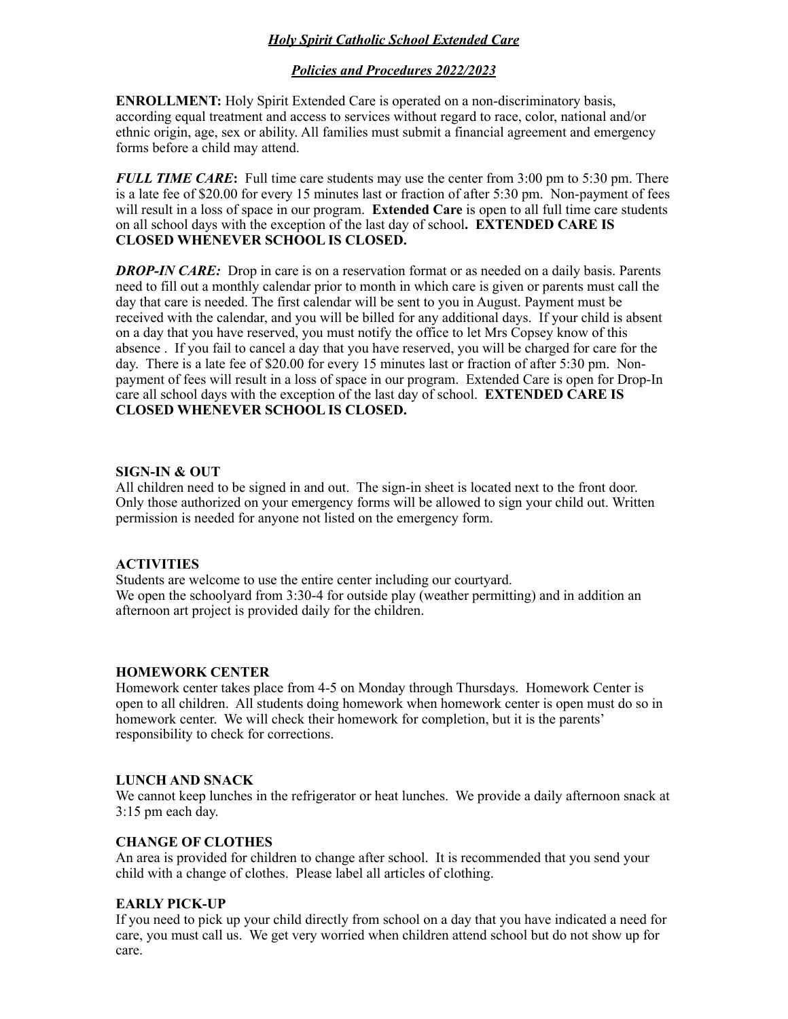# *Holy Spirit Catholic School Extended Care*

## *Policies and Procedures 2022/2023*

**ENROLLMENT:** Holy Spirit Extended Care is operated on a non-discriminatory basis, according equal treatment and access to services without regard to race, color, national and/or ethnic origin, age, sex or ability. All families must submit a financial agreement and emergency forms before a child may attend.

*FULL TIME CARE***:** Full time care students may use the center from 3:00 pm to 5:30 pm. There is a late fee of \$20.00 for every 15 minutes last or fraction of after 5:30 pm. Non-payment of fees will result in a loss of space in our program. **Extended Care** is open to all full time care students on all school days with the exception of the last day of school**. EXTENDED CARE IS CLOSED WHENEVER SCHOOL IS CLOSED.**

**DROP-IN CARE:** Drop in care is on a reservation format or as needed on a daily basis. Parents need to fill out a monthly calendar prior to month in which care is given or parents must call the day that care is needed. The first calendar will be sent to you in August. Payment must be received with the calendar, and you will be billed for any additional days. If your child is absent on a day that you have reserved, you must notify the office to let Mrs Copsey know of this absence . If you fail to cancel a day that you have reserved, you will be charged for care for the day. There is a late fee of \$20.00 for every 15 minutes last or fraction of after 5:30 pm. Nonpayment of fees will result in a loss of space in our program. Extended Care is open for Drop-In care all school days with the exception of the last day of school. **EXTENDED CARE IS CLOSED WHENEVER SCHOOL IS CLOSED.**

#### **SIGN-IN & OUT**

All children need to be signed in and out. The sign-in sheet is located next to the front door. Only those authorized on your emergency forms will be allowed to sign your child out. Written permission is needed for anyone not listed on the emergency form.

#### **ACTIVITIES**

Students are welcome to use the entire center including our courtyard. We open the schoolyard from 3:30-4 for outside play (weather permitting) and in addition an afternoon art project is provided daily for the children.

#### **HOMEWORK CENTER**

Homework center takes place from 4-5 on Monday through Thursdays. Homework Center is open to all children. All students doing homework when homework center is open must do so in homework center. We will check their homework for completion, but it is the parents' responsibility to check for corrections.

#### **LUNCH AND SNACK**

We cannot keep lunches in the refrigerator or heat lunches. We provide a daily afternoon snack at 3:15 pm each day.

#### **CHANGE OF CLOTHES**

An area is provided for children to change after school. It is recommended that you send your child with a change of clothes. Please label all articles of clothing.

#### **EARLY PICK-UP**

If you need to pick up your child directly from school on a day that you have indicated a need for care, you must call us. We get very worried when children attend school but do not show up for care.